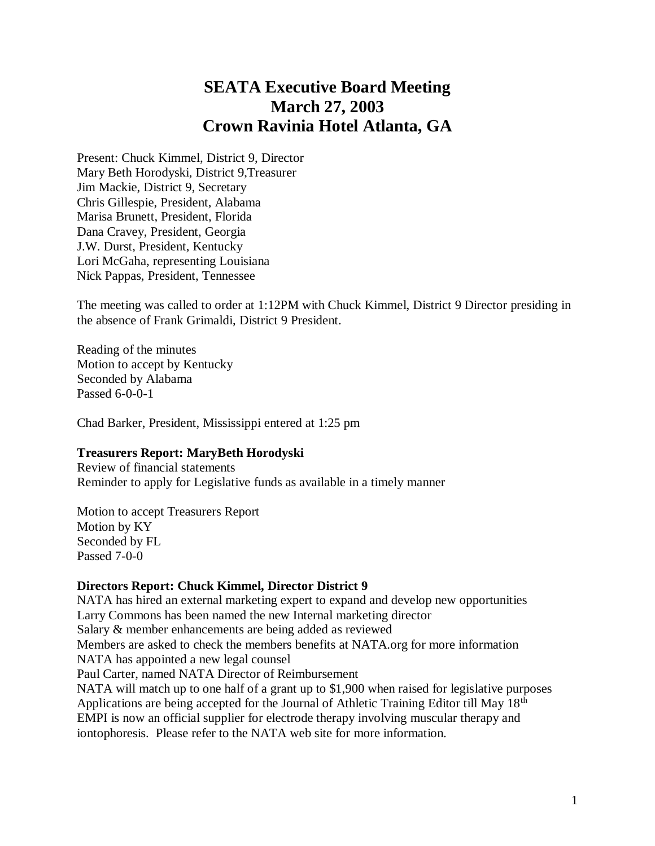# **SEATA Executive Board Meeting March 27, 2003 Crown Ravinia Hotel Atlanta, GA**

Present: Chuck Kimmel, District 9, Director Mary Beth Horodyski, District 9,Treasurer Jim Mackie, District 9, Secretary Chris Gillespie, President, Alabama Marisa Brunett, President, Florida Dana Cravey, President, Georgia J.W. Durst, President, Kentucky Lori McGaha, representing Louisiana Nick Pappas, President, Tennessee

The meeting was called to order at 1:12PM with Chuck Kimmel, District 9 Director presiding in the absence of Frank Grimaldi, District 9 President.

Reading of the minutes Motion to accept by Kentucky Seconded by Alabama Passed 6-0-0-1

Chad Barker, President, Mississippi entered at 1:25 pm

## **Treasurers Report: MaryBeth Horodyski**

Review of financial statements Reminder to apply for Legislative funds as available in a timely manner

Motion to accept Treasurers Report Motion by KY Seconded by FL Passed 7-0-0

## **Directors Report: Chuck Kimmel, Director District 9**

NATA has hired an external marketing expert to expand and develop new opportunities Larry Commons has been named the new Internal marketing director Salary & member enhancements are being added as reviewed Members are asked to check the members benefits at NATA.org for more information NATA has appointed a new legal counsel Paul Carter, named NATA Director of Reimbursement NATA will match up to one half of a grant up to \$1,900 when raised for legislative purposes Applications are being accepted for the Journal of Athletic Training Editor till May 18<sup>th</sup> EMPI is now an official supplier for electrode therapy involving muscular therapy and iontophoresis. Please refer to the NATA web site for more information.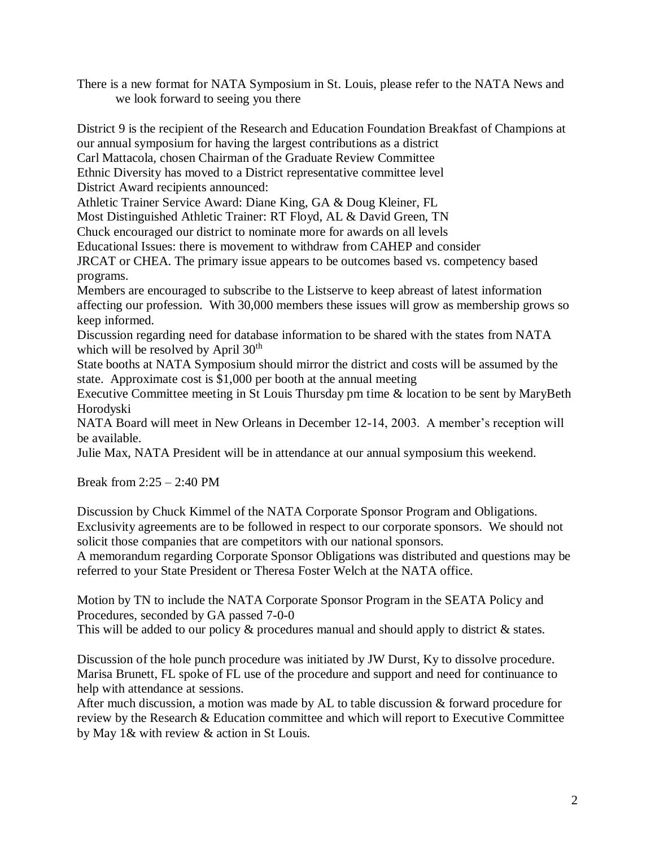There is a new format for NATA Symposium in St. Louis, please refer to the NATA News and we look forward to seeing you there

District 9 is the recipient of the Research and Education Foundation Breakfast of Champions at our annual symposium for having the largest contributions as a district Carl Mattacola, chosen Chairman of the Graduate Review Committee Ethnic Diversity has moved to a District representative committee level

District Award recipients announced:

Athletic Trainer Service Award: Diane King, GA & Doug Kleiner, FL

Most Distinguished Athletic Trainer: RT Floyd, AL & David Green, TN

Chuck encouraged our district to nominate more for awards on all levels

Educational Issues: there is movement to withdraw from CAHEP and consider

JRCAT or CHEA. The primary issue appears to be outcomes based vs. competency based programs.

Members are encouraged to subscribe to the Listserve to keep abreast of latest information affecting our profession. With 30,000 members these issues will grow as membership grows so keep informed.

Discussion regarding need for database information to be shared with the states from NATA which will be resolved by April 30<sup>th</sup>

State booths at NATA Symposium should mirror the district and costs will be assumed by the state. Approximate cost is \$1,000 per booth at the annual meeting

Executive Committee meeting in St Louis Thursday pm time & location to be sent by MaryBeth Horodyski

NATA Board will meet in New Orleans in December 12-14, 2003. A member's reception will be available.

Julie Max, NATA President will be in attendance at our annual symposium this weekend.

Break from 2:25 – 2:40 PM

Discussion by Chuck Kimmel of the NATA Corporate Sponsor Program and Obligations. Exclusivity agreements are to be followed in respect to our corporate sponsors. We should not solicit those companies that are competitors with our national sponsors.

A memorandum regarding Corporate Sponsor Obligations was distributed and questions may be referred to your State President or Theresa Foster Welch at the NATA office.

Motion by TN to include the NATA Corporate Sponsor Program in the SEATA Policy and Procedures, seconded by GA passed 7-0-0

This will be added to our policy & procedures manual and should apply to district & states.

Discussion of the hole punch procedure was initiated by JW Durst, Ky to dissolve procedure. Marisa Brunett, FL spoke of FL use of the procedure and support and need for continuance to help with attendance at sessions.

After much discussion, a motion was made by AL to table discussion & forward procedure for review by the Research & Education committee and which will report to Executive Committee by May 1& with review & action in St Louis.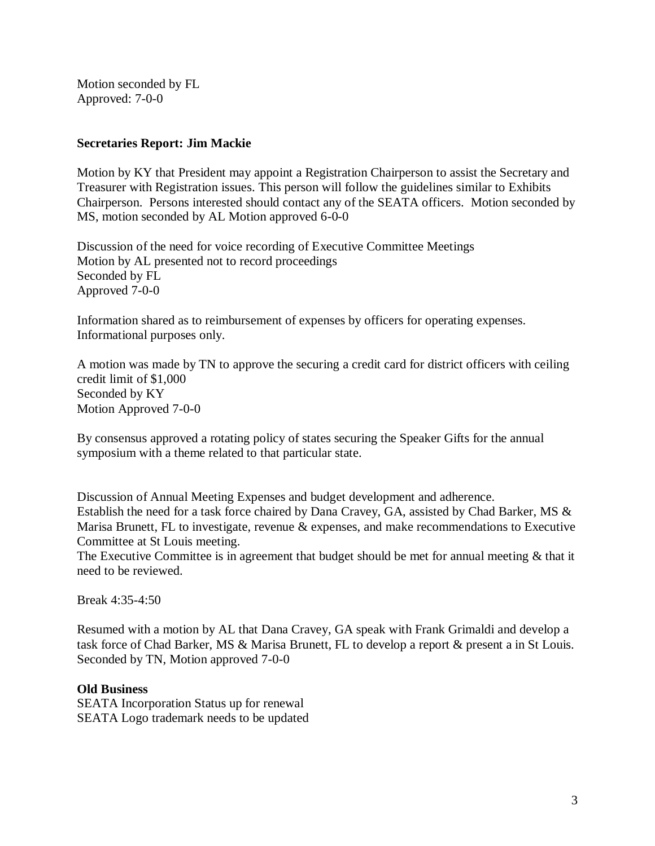Motion seconded by FL Approved: 7-0-0

## **Secretaries Report: Jim Mackie**

Motion by KY that President may appoint a Registration Chairperson to assist the Secretary and Treasurer with Registration issues. This person will follow the guidelines similar to Exhibits Chairperson. Persons interested should contact any of the SEATA officers. Motion seconded by MS, motion seconded by AL Motion approved 6-0-0

Discussion of the need for voice recording of Executive Committee Meetings Motion by AL presented not to record proceedings Seconded by FL Approved 7-0-0

Information shared as to reimbursement of expenses by officers for operating expenses. Informational purposes only.

A motion was made by TN to approve the securing a credit card for district officers with ceiling credit limit of \$1,000 Seconded by KY Motion Approved 7-0-0

By consensus approved a rotating policy of states securing the Speaker Gifts for the annual symposium with a theme related to that particular state.

Discussion of Annual Meeting Expenses and budget development and adherence. Establish the need for a task force chaired by Dana Cravey, GA, assisted by Chad Barker, MS & Marisa Brunett, FL to investigate, revenue & expenses, and make recommendations to Executive Committee at St Louis meeting.

The Executive Committee is in agreement that budget should be met for annual meeting & that it need to be reviewed.

Break 4:35-4:50

Resumed with a motion by AL that Dana Cravey, GA speak with Frank Grimaldi and develop a task force of Chad Barker, MS & Marisa Brunett, FL to develop a report & present a in St Louis. Seconded by TN, Motion approved 7-0-0

## **Old Business**

SEATA Incorporation Status up for renewal SEATA Logo trademark needs to be updated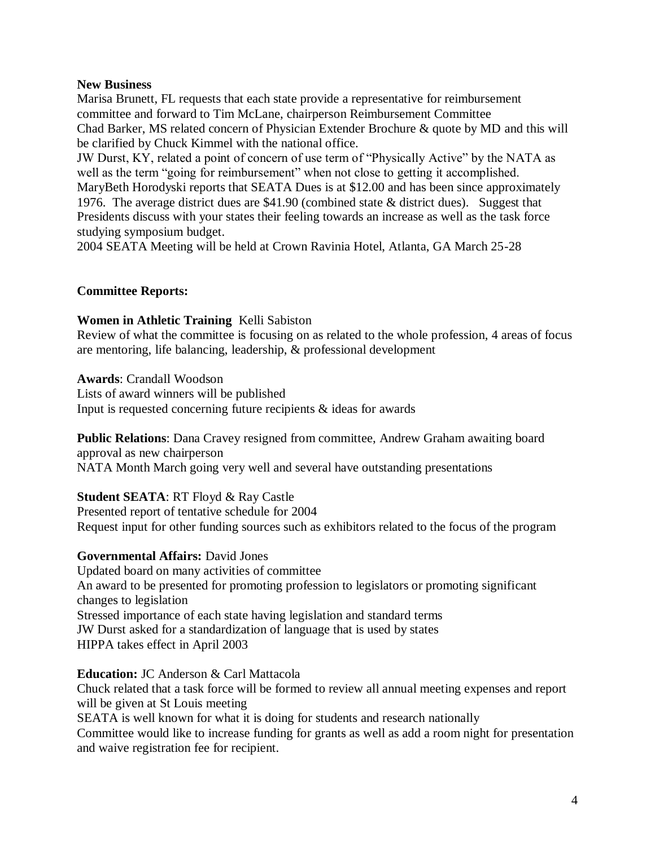## **New Business**

Marisa Brunett, FL requests that each state provide a representative for reimbursement committee and forward to Tim McLane, chairperson Reimbursement Committee Chad Barker, MS related concern of Physician Extender Brochure & quote by MD and this will be clarified by Chuck Kimmel with the national office.

JW Durst, KY, related a point of concern of use term of "Physically Active" by the NATA as well as the term "going for reimbursement" when not close to getting it accomplished. MaryBeth Horodyski reports that SEATA Dues is at \$12.00 and has been since approximately 1976. The average district dues are \$41.90 (combined state & district dues). Suggest that Presidents discuss with your states their feeling towards an increase as well as the task force studying symposium budget.

2004 SEATA Meeting will be held at Crown Ravinia Hotel, Atlanta, GA March 25-28

# **Committee Reports:**

## **Women in Athletic Training** Kelli Sabiston

Review of what the committee is focusing on as related to the whole profession, 4 areas of focus are mentoring, life balancing, leadership, & professional development

**Awards**: Crandall Woodson

Lists of award winners will be published Input is requested concerning future recipients & ideas for awards

**Public Relations**: Dana Cravey resigned from committee, Andrew Graham awaiting board approval as new chairperson NATA Month March going very well and several have outstanding presentations

# **Student SEATA**: RT Floyd & Ray Castle

Presented report of tentative schedule for 2004 Request input for other funding sources such as exhibitors related to the focus of the program

# **Governmental Affairs:** David Jones

Updated board on many activities of committee An award to be presented for promoting profession to legislators or promoting significant changes to legislation Stressed importance of each state having legislation and standard terms JW Durst asked for a standardization of language that is used by states HIPPA takes effect in April 2003

## **Education:** JC Anderson & Carl Mattacola

Chuck related that a task force will be formed to review all annual meeting expenses and report will be given at St Louis meeting

SEATA is well known for what it is doing for students and research nationally Committee would like to increase funding for grants as well as add a room night for presentation

and waive registration fee for recipient.